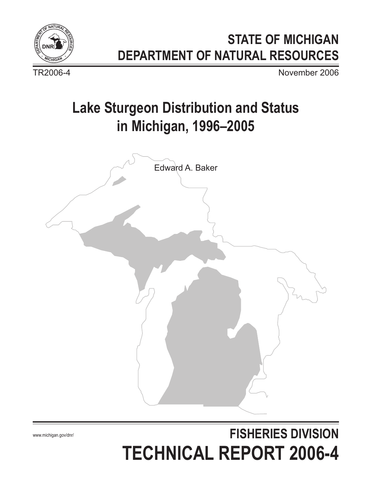

## **STATE OF MICHIGAN DEPARTMENT OF NATURAL RESOURCES**

TR2006-4 November 2006

## **Lake Sturgeon Distribution and Status in Michigan, 1996–2005**



# **FISHERIES DIVISION TECHNICAL REPORT 2006-4**

www.michigan.gov/dnr/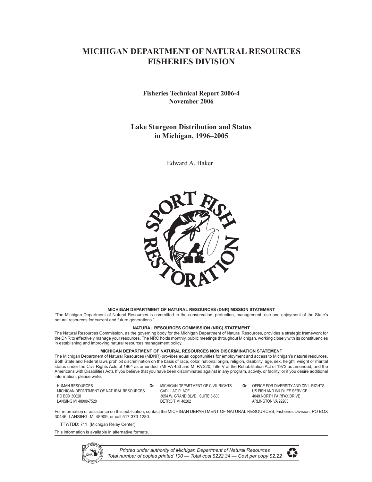### **MICHIGAN DEPARTMENT OF NATURAL RESOURCES FISHERIES DIVISION**

#### **Fisheries Technical Report 2006-4 November 2006**

#### **Lake Sturgeon Distribution and Status in Michigan, 1996–2005**

Edward A. Baker



#### **MICHIGAN DEPARTMENT OF NATURAL RESOURCES (DNR) MISSION STATEMENT**

"The Michigan Department of Natural Resources is committed to the conservation, protection, management, use and enjoyment of the State's natural resources for current and future generations."

#### **NATURAL RESOURCES COMMISSION (NRC) STATEMENT**

The Natural Resources Commission, as the governing body for the Michigan Department of Natural Resources, provides a strategic framework for the DNR to effectively manage your resources. The NRC holds monthly, public meetings throughout Michigan, working closely with its constituencies in establishing and improving natural resources management policy.

#### **MICHIGAN DEPARTMENT OF NATURAL RESOURCES NON DISCRIMINATION STATEMENT**

The Michigan Department of Natural Resources (MDNR) provides equal opportunities for employment and access to Michigan's natural resources. Both State and Federal laws prohibit discrimination on the basis of race, color, national origin, religion, disability, age, sex, height, weight or marital status under the Civil Rights Acts of 1964 as amended (MI PA 453 and MI PA 220, Title V of the Rehabilitation Act of 1973 as amended, and the Americans with Disabilities Act). If you believe that you have been discriminated against in any program, activity, or facility, or if you desire additional information, please write:

| HUMAN RESOURCES<br>MICHIGAN DEPARTMENT OF NATURAL RESOURCES<br>PO BOX 30028<br>LANSING MI 48909-7528 |  | MICHIGAN DEPARTMENT OF CIVIL RIGHTS<br>CADILLAC PLACE<br>3054 W. GRAND BLVD., SUITE 3-600<br>DETROIT MI 48202 | 0r | OFFICE FOR DIVERSITY AND CIVIL RIGHTS<br>US FISH AND WILDLIFE SERVICE<br>4040 NORTH FAIRFAX DRIVE<br>ARLINGTON VA 22203 |
|------------------------------------------------------------------------------------------------------|--|---------------------------------------------------------------------------------------------------------------|----|-------------------------------------------------------------------------------------------------------------------------|
|------------------------------------------------------------------------------------------------------|--|---------------------------------------------------------------------------------------------------------------|----|-------------------------------------------------------------------------------------------------------------------------|

For information or assistance on this publication, contact the MICHIGAN DEPARTMENT OF NATURAL RESOURCES, Fisheries Division, PO BOX 30446, LANSING, MI 48909, or call 517-373-1280.

TTY/TDD: 711 (Michigan Relay Center)

This information is available in alternative formats.



*Printed under authority of Michigan Department of Natural Resources Total number of copies printed 100 — Total cost \$222.34 — Cost per copy \$2.22*

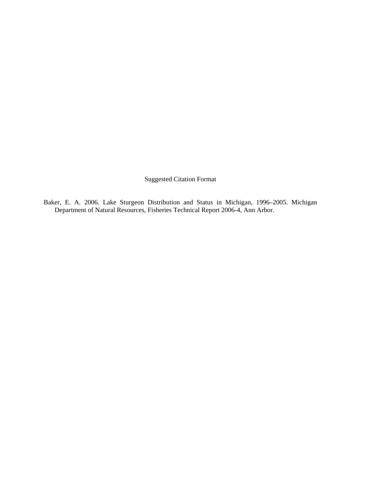Suggested Citation Format

Baker, E. A. 2006. Lake Sturgeon Distribution and Status in Michigan, 1996–2005. Michigan Department of Natural Resources, Fisheries Technical Report 2006-4, Ann Arbor.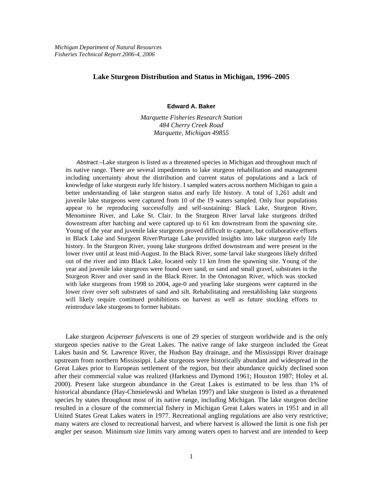#### **Lake Sturgeon Distribution and Status in Michigan, 1996–2005**

#### **Edward A. Baker**

*Marquette Fisheries Research Station 484 Cherry Creek Road Marquette, Michigan 49855* 

*Abstract.–*Lake sturgeon is listed as a threatened species in Michigan and throughout much of its native range. There are several impediments to lake sturgeon rehabilitation and management including uncertainty about the distribution and current status of populations and a lack of knowledge of lake sturgeon early life history. I sampled waters across northern Michigan to gain a better understanding of lake sturgeon status and early life history. A total of 1,261 adult and juvenile lake sturgeons were captured from 10 of the 19 waters sampled. Only four populations appear to be reproducing successfully and self-sustaining: Black Lake, Sturgeon River, Menominee River, and Lake St. Clair. In the Sturgeon River larval lake sturgeons drifted downstream after hatching and were captured up to 61 km downstream from the spawning site. Young of the year and juvenile lake sturgeons proved difficult to capture, but collaborative efforts in Black Lake and Sturgeon River/Portage Lake provided insights into lake sturgeon early life history. In the Sturgeon River, young lake sturgeons drifted downstream and were present in the lower river until at least mid-August. In the Black River, some larval lake sturgeons likely drifted out of the river and into Black Lake, located only 11 km from the spawning site. Young of the year and juvenile lake sturgeons were found over sand, or sand and small gravel, substrates in the Sturgeon River and over sand in the Black River. In the Ontonagon River, which was stocked with lake sturgeons from 1998 to 2004, age-0 and yearling lake sturgeons were captured in the lower river over soft substrates of sand and silt. Rehabilitating and reestablishing lake sturgeons will likely require continued prohibitions on harvest as well as future stocking efforts to reintroduce lake sturgeons to former habitats.

Lake sturgeon *Acipenser fulvescens* is one of 29 species of sturgeon worldwide and is the only sturgeon species native to the Great Lakes. The native range of lake sturgeon included the Great Lakes basin and St. Lawrence River, the Hudson Bay drainage, and the Mississippi River drainage upstream from northern Mississippi. Lake sturgeons were historically abundant and widespread in the Great Lakes prior to European settlement of the region, but their abundance quickly declined soon after their commercial value was realized (Harkness and Dymond 1961; Houston 1987; Holey et al. 2000). Present lake sturgeon abundance in the Great Lakes is estimated to be less than 1% of historical abundance (Hay-Chmielewski and Whelan 1997) and lake sturgeon is listed as a threatened species by states throughout most of its native range, including Michigan. The lake sturgeon decline resulted in a closure of the commercial fishery in Michigan Great Lakes waters in 1951 and in all United States Great Lakes waters in 1977. Recreational angling regulations are also very restrictive; many waters are closed to recreational harvest, and where harvest is allowed the limit is one fish per angler per season. Minimum size limits vary among waters open to harvest and are intended to keep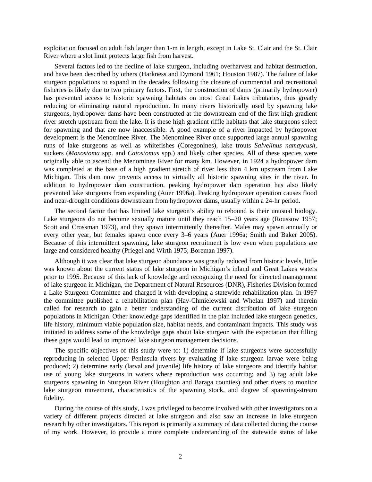exploitation focused on adult fish larger than 1-m in length, except in Lake St. Clair and the St. Clair River where a slot limit protects large fish from harvest.

Several factors led to the decline of lake sturgeon, including overharvest and habitat destruction, and have been described by others (Harkness and Dymond 1961; Houston 1987). The failure of lake sturgeon populations to expand in the decades following the closure of commercial and recreational fisheries is likely due to two primary factors. First, the construction of dams (primarily hydropower) has prevented access to historic spawning habitats on most Great Lakes tributaries, thus greatly reducing or eliminating natural reproduction. In many rivers historically used by spawning lake sturgeons, hydropower dams have been constructed at the downstream end of the first high gradient river stretch upstream from the lake. It is these high gradient riffle habitats that lake sturgeons select for spawning and that are now inaccessible. A good example of a river impacted by hydropower development is the Menominee River. The Menominee River once supported large annual spawning runs of lake sturgeons as well as whitefishes (Coregonines), lake trouts *Salvelinus namaycush*, suckers (*Moxostoma* spp. and *Catostomus* spp.) and likely other species. All of these species were originally able to ascend the Menominee River for many km. However, in 1924 a hydropower dam was completed at the base of a high gradient stretch of river less than 4 km upstream from Lake Michigan. This dam now prevents access to virtually all historic spawning sites in the river. In addition to hydropower dam construction, peaking hydropower dam operation has also likely prevented lake sturgeons from expanding (Auer 1996a). Peaking hydropower operation causes flood and near-drought conditions downstream from hydropower dams, usually within a 24-hr period.

The second factor that has limited lake sturgeon's ability to rebound is their unusual biology. Lake sturgeons do not become sexually mature until they reach 15–20 years age (Roussow 1957; Scott and Crossman 1973), and they spawn intermittently thereafter. Males may spawn annually or every other year, but females spawn once every 3–6 years (Auer 1996a; Smith and Baker 2005). Because of this intermittent spawning, lake sturgeon recruitment is low even when populations are large and considered healthy (Priegel and Wirth 1975; Boreman 1997).

Although it was clear that lake sturgeon abundance was greatly reduced from historic levels, little was known about the current status of lake sturgeon in Michigan's inland and Great Lakes waters prior to 1995. Because of this lack of knowledge and recognizing the need for directed management of lake sturgeon in Michigan, the Department of Natural Resources (DNR), Fisheries Division formed a Lake Sturgeon Committee and charged it with developing a statewide rehabilitation plan. In 1997 the committee published a rehabilitation plan (Hay-Chmielewski and Whelan 1997) and therein called for research to gain a better understanding of the current distribution of lake sturgeon populations in Michigan. Other knowledge gaps identified in the plan included lake sturgeon genetics, life history, minimum viable population size, habitat needs, and contaminant impacts. This study was initiated to address some of the knowledge gaps about lake sturgeon with the expectation that filling these gaps would lead to improved lake sturgeon management decisions.

The specific objectives of this study were to: 1) determine if lake sturgeons were successfully reproducing in selected Upper Peninsula rivers by evaluating if lake sturgeon larvae were being produced; 2) determine early (larval and juvenile) life history of lake sturgeons and identify habitat use of young lake sturgeons in waters where reproduction was occurring; and 3) tag adult lake sturgeons spawning in Sturgeon River (Houghton and Baraga counties) and other rivers to monitor lake sturgeon movement, characteristics of the spawning stock, and degree of spawning-stream fidelity.

During the course of this study, I was privileged to become involved with other investigators on a variety of different projects directed at lake sturgeon and also saw an increase in lake sturgeon research by other investigators. This report is primarily a summary of data collected during the course of my work. However, to provide a more complete understanding of the statewide status of lake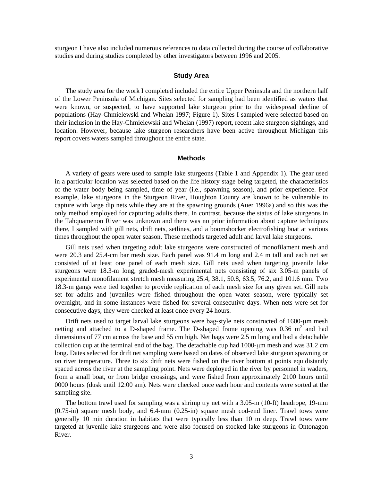sturgeon I have also included numerous references to data collected during the course of collaborative studies and during studies completed by other investigators between 1996 and 2005.

#### **Study Area**

The study area for the work I completed included the entire Upper Peninsula and the northern half of the Lower Peninsula of Michigan. Sites selected for sampling had been identified as waters that were known, or suspected, to have supported lake sturgeon prior to the widespread decline of populations (Hay-Chmielewski and Whelan 1997; Figure 1). Sites I sampled were selected based on their inclusion in the Hay-Chmielewski and Whelan (1997) report, recent lake sturgeon sightings, and location. However, because lake sturgeon researchers have been active throughout Michigan this report covers waters sampled throughout the entire state.

#### **Methods**

A variety of gears were used to sample lake sturgeons (Table 1 and Appendix 1). The gear used in a particular location was selected based on the life history stage being targeted, the characteristics of the water body being sampled, time of year (i.e., spawning season), and prior experience. For example, lake sturgeons in the Sturgeon River, Houghton County are known to be vulnerable to capture with large dip nets while they are at the spawning grounds (Auer 1996a) and so this was the only method employed for capturing adults there. In contrast, because the status of lake sturgeons in the Tahquamenon River was unknown and there was no prior information about capture techniques there, I sampled with gill nets, drift nets, setlines, and a boomshocker electrofishing boat at various times throughout the open water season. These methods targeted adult and larval lake sturgeons.

Gill nets used when targeting adult lake sturgeons were constructed of monofilament mesh and were 20.3 and 25.4-cm bar mesh size. Each panel was 91.4 m long and 2.4 m tall and each net set consisted of at least one panel of each mesh size. Gill nets used when targeting juvenile lake sturgeons were 18.3-m long, graded-mesh experimental nets consisting of six 3.05-m panels of experimental monofilament stretch mesh measuring 25.4, 38.1, 50.8, 63.5, 76.2, and 101.6 mm. Two 18.3-m gangs were tied together to provide replication of each mesh size for any given set. Gill nets set for adults and juveniles were fished throughout the open water season, were typically set overnight, and in some instances were fished for several consecutive days. When nets were set for consecutive days, they were checked at least once every 24 hours.

Drift nets used to target larval lake sturgeons were bag-style nets constructed of 1600-μm mesh netting and attached to a D-shaped frame. The D-shaped frame opening was  $0.36 \text{ m}^2$  and had dimensions of 77 cm across the base and 55 cm high. Net bags were 2.5 m long and had a detachable collection cup at the terminal end of the bag. The detachable cup had 1000-μm mesh and was 31.2 cm long. Dates selected for drift net sampling were based on dates of observed lake sturgeon spawning or on river temperature. Three to six drift nets were fished on the river bottom at points equidistantly spaced across the river at the sampling point. Nets were deployed in the river by personnel in waders, from a small boat, or from bridge crossings, and were fished from approximately 2100 hours until 0000 hours (dusk until 12:00 am). Nets were checked once each hour and contents were sorted at the sampling site.

The bottom trawl used for sampling was a shrimp try net with a 3.05-m (10-ft) headrope, 19-mm (0.75-in) square mesh body, and 6.4-mm (0.25-in) square mesh cod-end liner. Trawl tows were generally 10 min duration in habitats that were typically less than 10 m deep. Trawl tows were targeted at juvenile lake sturgeons and were also focused on stocked lake sturgeons in Ontonagon River.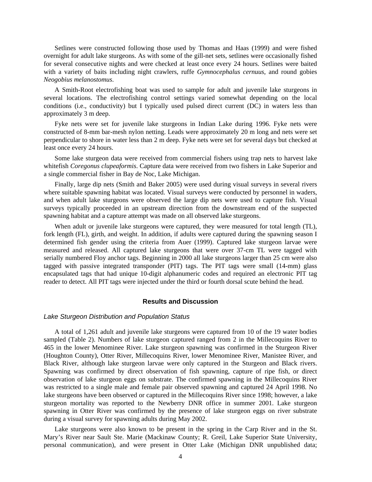Setlines were constructed following those used by Thomas and Haas (1999) and were fished overnight for adult lake sturgeons. As with some of the gill-net sets, setlines were occasionally fished for several consecutive nights and were checked at least once every 24 hours. Setlines were baited with a variety of baits including night crawlers, ruffe *Gymnocephalus cernuus*, and round gobies *Neogobius melanostomus*.

A Smith-Root electrofishing boat was used to sample for adult and juvenile lake sturgeons in several locations. The electrofishing control settings varied somewhat depending on the local conditions (i.e., conductivity) but I typically used pulsed direct current (DC) in waters less than approximately 3 m deep.

Fyke nets were set for juvenile lake sturgeons in Indian Lake during 1996. Fyke nets were constructed of 8-mm bar-mesh nylon netting. Leads were approximately 20 m long and nets were set perpendicular to shore in water less than 2 m deep. Fyke nets were set for several days but checked at least once every 24 hours.

Some lake sturgeon data were received from commercial fishers using trap nets to harvest lake whitefish *Coregonus clupeaformis*. Capture data were received from two fishers in Lake Superior and a single commercial fisher in Bay de Noc, Lake Michigan.

Finally, large dip nets (Smith and Baker 2005) were used during visual surveys in several rivers where suitable spawning habitat was located. Visual surveys were conducted by personnel in waders, and when adult lake sturgeons were observed the large dip nets were used to capture fish. Visual surveys typically proceeded in an upstream direction from the downstream end of the suspected spawning habitat and a capture attempt was made on all observed lake sturgeons.

When adult or juvenile lake sturgeons were captured, they were measured for total length (TL), fork length (FL), girth, and weight. In addition, if adults were captured during the spawning season I determined fish gender using the criteria from Auer (1999). Captured lake sturgeon larvae were measured and released. All captured lake sturgeons that were over 37-cm TL were tagged with serially numbered Floy anchor tags. Beginning in 2000 all lake sturgeons larger than 25 cm were also tagged with passive integrated transponder (PIT) tags. The PIT tags were small (14-mm) glass encapsulated tags that had unique 10-digit alphanumeric codes and required an electronic PIT tag reader to detect. All PIT tags were injected under the third or fourth dorsal scute behind the head.

#### **Results and Discussion**

#### *Lake Sturgeon Distribution and Population Status*

A total of 1,261 adult and juvenile lake sturgeons were captured from 10 of the 19 water bodies sampled (Table 2). Numbers of lake sturgeon captured ranged from 2 in the Millecoquins River to 465 in the lower Menominee River. Lake sturgeon spawning was confirmed in the Sturgeon River (Houghton County), Otter River, Millecoquins River, lower Menominee River, Manistee River, and Black River, although lake sturgeon larvae were only captured in the Sturgeon and Black rivers. Spawning was confirmed by direct observation of fish spawning, capture of ripe fish, or direct observation of lake sturgeon eggs on substrate. The confirmed spawning in the Millecoquins River was restricted to a single male and female pair observed spawning and captured 24 April 1998. No lake sturgeons have been observed or captured in the Millecoquins River since 1998; however, a lake sturgeon mortality was reported to the Newberry DNR office in summer 2001. Lake sturgeon spawning in Otter River was confirmed by the presence of lake sturgeon eggs on river substrate during a visual survey for spawning adults during May 2002.

Lake sturgeons were also known to be present in the spring in the Carp River and in the St. Mary's River near Sault Ste. Marie (Mackinaw County; R. Greil, Lake Superior State University, personal communication), and were present in Otter Lake (Michigan DNR unpublished data;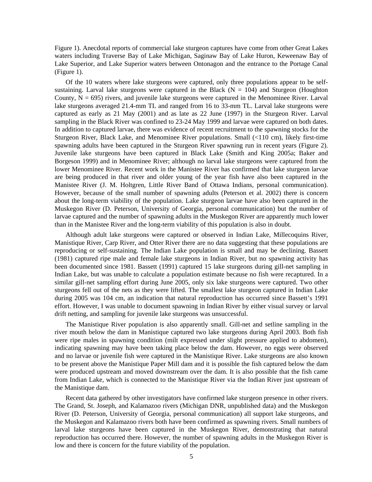Figure 1). Anecdotal reports of commercial lake sturgeon captures have come from other Great Lakes waters including Traverse Bay of Lake Michigan, Saginaw Bay of Lake Huron, Keweenaw Bay of Lake Superior, and Lake Superior waters between Ontonagon and the entrance to the Portage Canal (Figure 1).

Of the 10 waters where lake sturgeons were captured, only three populations appear to be selfsustaining. Larval lake sturgeons were captured in the Black ( $N = 104$ ) and Sturgeon (Houghton County,  $N = 695$ ) rivers, and juvenile lake sturgeons were captured in the Menominee River. Larval lake sturgeons averaged 21.4-mm TL and ranged from 16 to 33-mm TL. Larval lake sturgeons were captured as early as 21 May (2001) and as late as 22 June (1997) in the Sturgeon River. Larval sampling in the Black River was confined to 23-24 May 1999 and larvae were captured on both dates. In addition to captured larvae, there was evidence of recent recruitment to the spawning stocks for the Sturgeon River, Black Lake, and Menominee River populations. Small (<110 cm), likely first-time spawning adults have been captured in the Sturgeon River spawning run in recent years (Figure 2). Juvenile lake sturgeons have been captured in Black Lake (Smith and King 2005a; Baker and Borgeson 1999) and in Menominee River; although no larval lake sturgeons were captured from the lower Menominee River. Recent work in the Manistee River has confirmed that lake sturgeon larvae are being produced in that river and older young of the year fish have also been captured in the Manistee River (J. M. Holtgren, Little River Band of Ottawa Indians, personal communication). However, because of the small number of spawning adults (Peterson et al. 2002) there is concern about the long-term viability of the population. Lake sturgeon larvae have also been captured in the Muskegon River (D. Peterson, University of Georgia, personal communication) but the number of larvae captured and the number of spawning adults in the Muskegon River are apparently much lower than in the Manistee River and the long-term viability of this population is also in doubt.

Although adult lake sturgeons were captured or observed in Indian Lake, Millecoquins River, Manistique River, Carp River, and Otter River there are no data suggesting that these populations are reproducing or self-sustaining. The Indian Lake population is small and may be declining. Bassett (1981) captured ripe male and female lake sturgeons in Indian River, but no spawning activity has been documented since 1981. Bassett (1991) captured 15 lake sturgeons during gill-net sampling in Indian Lake, but was unable to calculate a population estimate because no fish were recaptured. In a similar gill-net sampling effort during June 2005, only six lake sturgeons were captured. Two other sturgeons fell out of the nets as they were lifted. The smallest lake sturgeon captured in Indian Lake during 2005 was 104 cm, an indication that natural reproduction has occurred since Bassett's 1991 effort. However, I was unable to document spawning in Indian River by either visual survey or larval drift netting, and sampling for juvenile lake sturgeons was unsuccessful.

The Manistique River population is also apparently small. Gill-net and setline sampling in the river mouth below the dam in Manistique captured two lake sturgeons during April 2003. Both fish were ripe males in spawning condition (milt expressed under slight pressure applied to abdomen), indicating spawning may have been taking place below the dam. However, no eggs were observed and no larvae or juvenile fish were captured in the Manistique River. Lake sturgeons are also known to be present above the Manistique Paper Mill dam and it is possible the fish captured below the dam were produced upstream and moved downstream over the dam. It is also possible that the fish came from Indian Lake, which is connected to the Manistique River via the Indian River just upstream of the Manistique dam.

Recent data gathered by other investigators have confirmed lake sturgeon presence in other rivers. The Grand, St. Joseph, and Kalamazoo rivers (Michigan DNR, unpublished data) and the Muskegon River (D. Peterson, University of Georgia, personal communication) all support lake sturgeons, and the Muskegon and Kalamazoo rivers both have been confirmed as spawning rivers. Small numbers of larval lake sturgeons have been captured in the Muskegon River, demonstrating that natural reproduction has occurred there. However, the number of spawning adults in the Muskegon River is low and there is concern for the future viability of the population.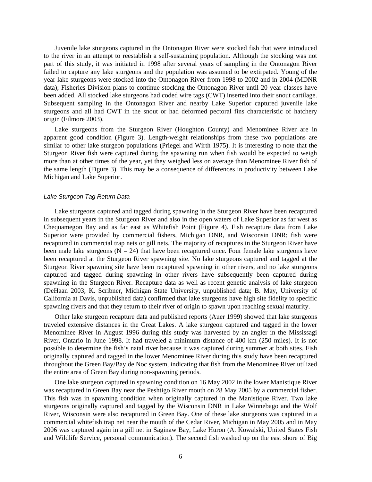Juvenile lake sturgeons captured in the Ontonagon River were stocked fish that were introduced to the river in an attempt to reestablish a self-sustaining population. Although the stocking was not part of this study, it was initiated in 1998 after several years of sampling in the Ontonagon River failed to capture any lake sturgeons and the population was assumed to be extirpated. Young of the year lake sturgeons were stocked into the Ontonagon River from 1998 to 2002 and in 2004 (MDNR data); Fisheries Division plans to continue stocking the Ontonagon River until 20 year classes have been added. All stocked lake sturgeons had coded wire tags (CWT) inserted into their snout cartilage. Subsequent sampling in the Ontonagon River and nearby Lake Superior captured juvenile lake sturgeons and all had CWT in the snout or had deformed pectoral fins characteristic of hatchery origin (Filmore 2003).

Lake sturgeons from the Sturgeon River (Houghton County) and Menominee River are in apparent good condition (Figure 3). Length-weight relationships from these two populations are similar to other lake sturgeon populations (Priegel and Wirth 1975). It is interesting to note that the Sturgeon River fish were captured during the spawning run when fish would be expected to weigh more than at other times of the year, yet they weighed less on average than Menominee River fish of the same length (Figure 3). This may be a consequence of differences in productivity between Lake Michigan and Lake Superior.

#### *Lake Sturgeon Tag Return Data*

Lake sturgeons captured and tagged during spawning in the Sturgeon River have been recaptured in subsequent years in the Sturgeon River and also in the open waters of Lake Superior as far west as Chequamegon Bay and as far east as Whitefish Point (Figure 4). Fish recapture data from Lake Superior were provided by commercial fishers, Michigan DNR, and Wisconsin DNR; fish were recaptured in commercial trap nets or gill nets. The majority of recaptures in the Sturgeon River have been male lake sturgeons ( $N = 24$ ) that have been recaptured once. Four female lake sturgeons have been recaptured at the Sturgeon River spawning site. No lake sturgeons captured and tagged at the Sturgeon River spawning site have been recaptured spawning in other rivers, and no lake sturgeons captured and tagged during spawning in other rivers have subsequently been captured during spawning in the Sturgeon River. Recapture data as well as recent genetic analysis of lake sturgeon (DeHaan 2003; K. Scribner, Michigan State University, unpublished data; B. May, University of California at Davis, unpublished data) confirmed that lake sturgeons have high site fidelity to specific spawning rivers and that they return to their river of origin to spawn upon reaching sexual maturity.

Other lake sturgeon recapture data and published reports (Auer 1999) showed that lake sturgeons traveled extensive distances in the Great Lakes. A lake sturgeon captured and tagged in the lower Menominee River in August 1996 during this study was harvested by an angler in the Mississagi River, Ontario in June 1998. It had traveled a minimum distance of 400 km (250 miles). It is not possible to determine the fish's natal river because it was captured during summer at both sites. Fish originally captured and tagged in the lower Menominee River during this study have been recaptured throughout the Green Bay/Bay de Noc system, indicating that fish from the Menominee River utilized the entire area of Green Bay during non-spawning periods.

One lake sturgeon captured in spawning condition on 16 May 2002 in the lower Manistique River was recaptured in Green Bay near the Peshtigo River mouth on 28 May 2005 by a commercial fisher. This fish was in spawning condition when originally captured in the Manistique River. Two lake sturgeons originally captured and tagged by the Wisconsin DNR in Lake Winnebago and the Wolf River, Wisconsin were also recaptured in Green Bay. One of these lake sturgeons was captured in a commercial whitefish trap net near the mouth of the Cedar River, Michigan in May 2005 and in May 2006 was captured again in a gill net in Saginaw Bay, Lake Huron (A. Kowalski, United States Fish and Wildlife Service, personal communication). The second fish washed up on the east shore of Big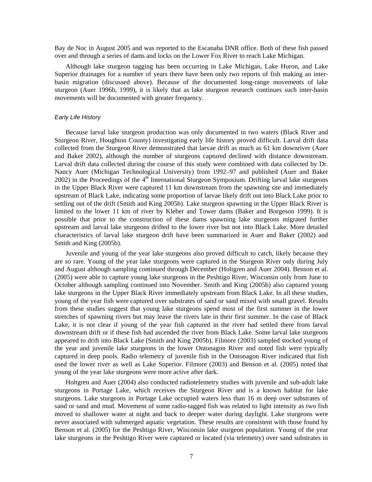Bay de Noc in August 2005 and was reported to the Escanaba DNR office. Both of these fish passed over and through a series of dams and locks on the Lower Fox River to reach Lake Michigan.

Although lake sturgeon tagging has been occurring in Lake Michigan, Lake Huron, and Lake Superior drainages for a number of years there have been only two reports of fish making an interbasin migration (discussed above). Because of the documented long-range movements of lake sturgeon (Auer 1996b, 1999), it is likely that as lake sturgeon research continues such inter-basin movements will be documented with greater frequency.

#### *Early Life History*

Because larval lake sturgeon production was only documented in two waters (Black River and Sturgeon River, Houghton County) investigating early life history proved difficult. Larval drift data collected from the Sturgeon River demonstrated that larvae drift as much as 61 km downriver (Auer and Baker 2002), although the number of sturgeons captured declined with distance downstream. Larval drift data collected during the course of this study were combined with data collected by Dr. Nancy Auer (Michigan Technological University) from 1992–97 and published (Auer and Baker 2002) in the Proceedings of the 4<sup>th</sup> International Sturgeon Symposium. Drifting larval lake sturgeons in the Upper Black River were captured 11 km downstream from the spawning site and immediately upstream of Black Lake, indicating some proportion of larvae likely drift out into Black Lake prior to settling out of the drift (Smith and King 2005b). Lake sturgeon spawning in the Upper Black River is limited to the lower 11 km of river by Kleber and Tower dams (Baker and Borgeson 1999). It is possible that prior to the construction of these dams spawning lake sturgeons migrated further upstream and larval lake sturgeons drifted to the lower river but not into Black Lake. More detailed characteristics of larval lake sturgeon drift have been summarized in Auer and Baker (2002) and Smith and King (2005b).

Juvenile and young of the year lake sturgeons also proved difficult to catch, likely because they are so rare. Young of the year lake sturgeons were captured in the Sturgeon River only during July and August although sampling continued through December (Holtgren and Auer 2004). Benson et al. (2005) were able to capture young lake sturgeons in the Peshtigo River, Wisconsin only from June to October although sampling continued into November. Smith and King (2005b) also captured young lake sturgeons in the Upper Black River immediately upstream from Black Lake. In all these studies, young of the year fish were captured over substrates of sand or sand mixed with small gravel. Results from these studies suggest that young lake sturgeons spend most of the first summer in the lower stretches of spawning rivers but may leave the rivers late in their first summer. In the case of Black Lake, it is not clear if young of the year fish captured in the river had settled there from larval downstream drift or if these fish had ascended the river from Black Lake. Some larval lake sturgeons appeared to drift into Black Lake (Smith and King 2005b). Filmore (2003) sampled stocked young of the year and juvenile lake sturgeons in the lower Ontonagon River and noted fish were typically captured in deep pools. Radio telemetry of juvenile fish in the Ontonagon River indicated that fish used the lower river as well as Lake Superior. Filmore (2003) and Benson et al. (2005) noted that young of the year lake sturgeons were more active after dark.

Holtgren and Auer (2004) also conducted radiotelemetry studies with juvenile and sub-adult lake sturgeons in Portage Lake, which receives the Sturgeon River and is a known habitat for lake sturgeons. Lake sturgeons in Portage Lake occupied waters less than 16 m deep over substrates of sand or sand and mud. Movement of some radio-tagged fish was related to light intensity as two fish moved to shallower water at night and back to deeper water during daylight. Lake sturgeons were never associated with submerged aquatic vegetation. These results are consistent with those found by Benson et al. (2005) for the Peshtigo River, Wisconsin lake sturgeon population. Young of the year lake sturgeons in the Peshtigo River were captured or located (via telemetry) over sand substrates in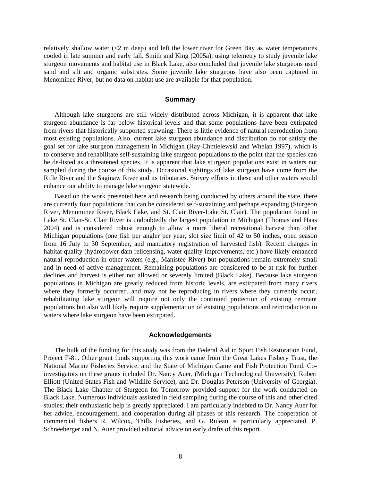relatively shallow water (<2 m deep) and left the lower river for Green Bay as water temperatures cooled in late summer and early fall. Smith and King (2005a), using telemetry to study juvenile lake sturgeon movements and habitat use in Black Lake, also concluded that juvenile lake sturgeons used sand and silt and organic substrates. Some juvenile lake sturgeons have also been captured in Menominee River, but no data on habitat use are available for that population.

#### **Summary**

Although lake sturgeons are still widely distributed across Michigan, it is apparent that lake sturgeon abundance is far below historical levels and that some populations have been extirpated from rivers that historically supported spawning. There is little evidence of natural reproduction from most existing populations. Also, current lake sturgeon abundance and distribution do not satisfy the goal set for lake sturgeon management in Michigan (Hay-Chmielewski and Whelan 1997), which is to conserve and rehabilitate self-sustaining lake sturgeon populations to the point that the species can be de-listed as a threatened species. It is apparent that lake sturgeon populations exist in waters not sampled during the course of this study. Occasional sightings of lake sturgeon have come from the Rifle River and the Saginaw River and its tributaries. Survey efforts in these and other waters would enhance our ability to manage lake sturgeon statewide.

Based on the work presented here and research being conducted by others around the state, there are currently four populations that can be considered self-sustaining and perhaps expanding (Sturgeon River, Menominee River, Black Lake, and St. Clair River-Lake St. Clair). The population found in Lake St. Clair-St. Clair River is undoubtedly the largest population in Michigan (Thomas and Haas 2004) and is considered robust enough to allow a more liberal recreational harvest than other Michigan populations (one fish per angler per year, slot size limit of 42 to 50 inches, open season from 16 July to 30 September, and mandatory registration of harvested fish). Recent changes in habitat quality (hydropower dam relicensing, water quality improvements, etc.) have likely enhanced natural reproduction in other waters (e.g., Manistee River) but populations remain extremely small and in need of active management. Remaining populations are considered to be at risk for further declines and harvest is either not allowed or severely limited (Black Lake). Because lake sturgeon populations in Michigan are greatly reduced from historic levels, are extirpated from many rivers where they formerly occurred, and may not be reproducing in rivers where they currently occur, rehabilitating lake sturgeon will require not only the continued protection of existing remnant populations but also will likely require supplementation of existing populations and reintroduction to waters where lake sturgeon have been extirpated.

#### **Acknowledgements**

The bulk of the funding for this study was from the Federal Aid in Sport Fish Restoration Fund, Project F-81. Other grant funds supporting this work came from the Great Lakes Fishery Trust, the National Marine Fisheries Service, and the State of Michigan Game and Fish Protection Fund. Coinvestigators on these grants included Dr. Nancy Auer, (Michigan Technological University), Robert Elliott (United States Fish and Wildlife Service), and Dr. Douglas Peterson (University of Georgia). The Black Lake Chapter of Sturgeon for Tomorrow provided support for the work conducted on Black Lake. Numerous individuals assisted in field sampling during the course of this and other cited studies; their enthusiastic help is greatly appreciated. I am particularly indebted to Dr. Nancy Auer for her advice, encouragement, and cooperation during all phases of this research. The cooperation of commercial fishers R. Wilcox, Thills Fisheries, and G. Ruleau is particularly appreciated. P. Schneeberger and N. Auer provided editorial advice on early drafts of this report.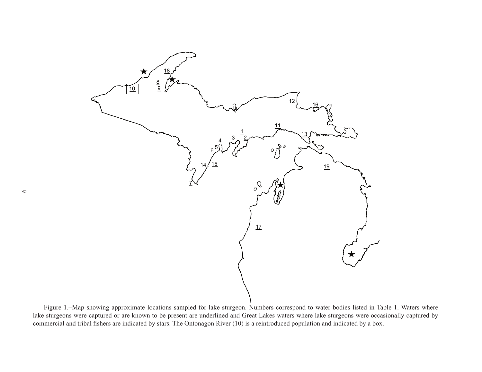

Figure 1.–Map showing approximate locations sampled for lake sturgeon. Numbers correspond to water bodies listed in Table 1. Waters where lake sturgeons were captured or are known to be present are underlined and Great Lakes waters where lake sturgeons were occasionally captured by commercial and tribal fishers are indicated by stars. The Ontonagon River (10) is a reintroduced population and indicated by a box.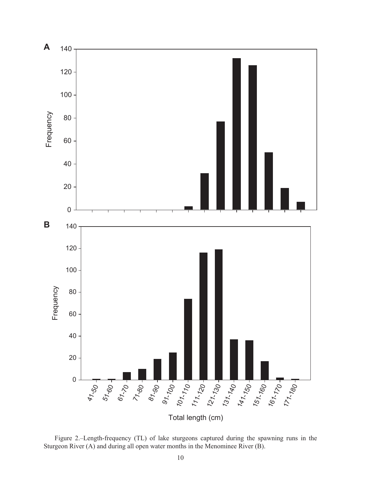

Figure 2.–Length-frequency (TL) of lake sturgeons captured during the spawning runs in the Sturgeon River (A) and during all open water months in the Menominee River (B).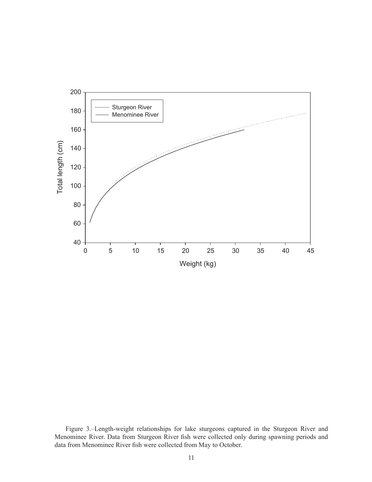

Figure 3.–Length-weight relationships for lake sturgeons captured in the Sturgeon River and Menominee River. Data from Sturgeon River fish were collected only during spawning periods and data from Menominee River fish were collected from May to October.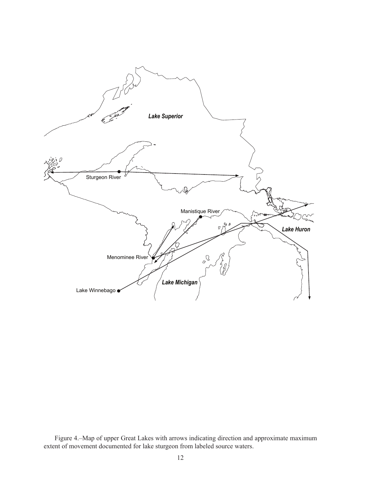

Figure 4.–Map of upper Great Lakes with arrows indicating direction and approximate maximum extent of movement documented for lake sturgeon from labeled source waters.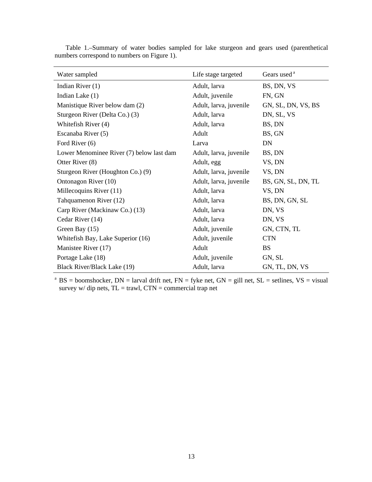| Water sampled                            | Life stage targeted    | Gears used <sup>a</sup> |
|------------------------------------------|------------------------|-------------------------|
| Indian River (1)                         | Adult, larva           | BS, DN, VS              |
| Indian Lake (1)                          | Adult, juvenile        | FN, GN                  |
| Manistique River below dam (2)           | Adult, larva, juvenile | GN, SL, DN, VS, BS      |
| Sturgeon River (Delta Co.) (3)           | Adult, larva           | DN, SL, VS              |
| Whitefish River (4)                      | Adult, larva           | BS, DN                  |
| Escanaba River (5)                       | Adult                  | BS, GN                  |
| Ford River (6)                           | Larva                  | DN                      |
| Lower Menominee River (7) below last dam | Adult, larva, juvenile | BS, DN                  |
| Otter River (8)                          | Adult, egg             | VS, DN                  |
| Sturgeon River (Houghton Co.) (9)        | Adult, larva, juvenile | VS, DN                  |
| Ontonagon River (10)                     | Adult, larva, juvenile | BS, GN, SL, DN, TL      |
| Millecoquins River (11)                  | Adult, larva           | VS, DN                  |
| Tahquamenon River (12)                   | Adult, larva           | BS, DN, GN, SL          |
| Carp River (Mackinaw Co.) (13)           | Adult, larva           | DN, VS                  |
| Cedar River (14)                         | Adult, larva           | DN, VS                  |
| Green Bay (15)                           | Adult, juvenile        | GN, CTN, TL             |
| Whitefish Bay, Lake Superior (16)        | Adult, juvenile        | <b>CTN</b>              |
| Manistee River (17)                      | Adult                  | <b>BS</b>               |
| Portage Lake (18)                        | Adult, juvenile        | GN, SL                  |
| Black River/Black Lake (19)              | Adult, larva           | GN, TL, DN, VS          |

Table 1.–Summary of water bodies sampled for lake sturgeon and gears used (parenthetical numbers correspond to numbers on Figure 1).

<sup>a</sup> BS = boomshocker, DN = larval drift net, FN = fyke net, GN = gill net, SL = setlines, VS = visual survey w/ dip nets,  $TL = \text{travl}$ ,  $CTN = \text{commercial trap net}$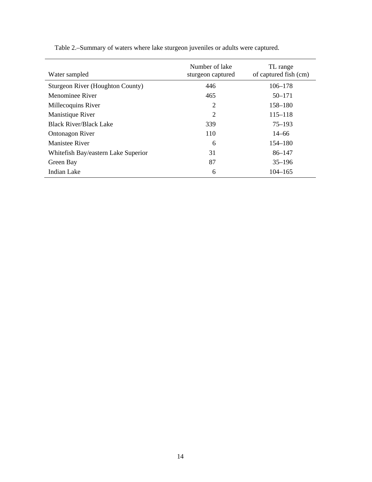| Water sampled                       | Number of lake<br>sturgeon captured | TL range<br>of captured fish (cm) |
|-------------------------------------|-------------------------------------|-----------------------------------|
| Sturgeon River (Houghton County)    | 446                                 | $106 - 178$                       |
| Menominee River                     | 465                                 | $50 - 171$                        |
| Millecoquins River                  | $\overline{2}$                      | 158–180                           |
| Manistique River                    | $\overline{2}$                      | $115 - 118$                       |
| <b>Black River/Black Lake</b>       | 339                                 | $75 - 193$                        |
| Ontonagon River                     | 110                                 | $14 - 66$                         |
| <b>Manistee River</b>               | 6                                   | 154–180                           |
| Whitefish Bay/eastern Lake Superior | 31                                  | $86 - 147$                        |
| Green Bay                           | 87                                  | $35 - 196$                        |
| Indian Lake                         | 6                                   | $104 - 165$                       |

Table 2.–Summary of waters where lake sturgeon juveniles or adults were captured.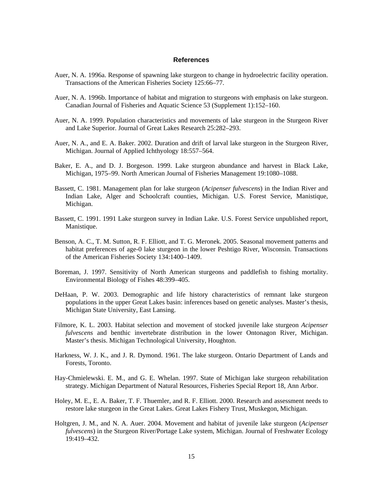#### **References**

- Auer, N. A. 1996a. Response of spawning lake sturgeon to change in hydroelectric facility operation. Transactions of the American Fisheries Society 125:66–77.
- Auer, N. A. 1996b. Importance of habitat and migration to sturgeons with emphasis on lake sturgeon. Canadian Journal of Fisheries and Aquatic Science 53 (Supplement 1):152–160.
- Auer, N. A. 1999. Population characteristics and movements of lake sturgeon in the Sturgeon River and Lake Superior. Journal of Great Lakes Research 25:282–293.
- Auer, N. A., and E. A. Baker. 2002. Duration and drift of larval lake sturgeon in the Sturgeon River, Michigan. Journal of Applied Ichthyology 18:557–564.
- Baker, E. A., and D. J. Borgeson. 1999. Lake sturgeon abundance and harvest in Black Lake, Michigan, 1975–99. North American Journal of Fisheries Management 19:1080–1088.
- Bassett, C. 1981. Management plan for lake sturgeon (*Acipenser fulvescens*) in the Indian River and Indian Lake, Alger and Schoolcraft counties, Michigan. U.S. Forest Service, Manistique, Michigan.
- Bassett, C. 1991. 1991 Lake sturgeon survey in Indian Lake. U.S. Forest Service unpublished report, Manistique.
- Benson, A. C., T. M. Sutton, R. F. Elliott, and T. G. Meronek. 2005. Seasonal movement patterns and habitat preferences of age-0 lake sturgeon in the lower Peshtigo River, Wisconsin. Transactions of the American Fisheries Society 134:1400–1409.
- Boreman, J. 1997. Sensitivity of North American sturgeons and paddlefish to fishing mortality. Environmental Biology of Fishes 48:399–405.
- DeHaan, P. W. 2003. Demographic and life history characteristics of remnant lake sturgeon populations in the upper Great Lakes basin: inferences based on genetic analyses. Master's thesis, Michigan State University, East Lansing.
- Filmore, K. L. 2003. Habitat selection and movement of stocked juvenile lake sturgeon *Acipenser fulvescens* and benthic invertebrate distribution in the lower Ontonagon River, Michigan. Master's thesis. Michigan Technological University, Houghton.
- Harkness, W. J. K., and J. R. Dymond. 1961. The lake sturgeon. Ontario Department of Lands and Forests, Toronto.
- Hay-Chmielewski. E. M., and G. E. Whelan. 1997. State of Michigan lake sturgeon rehabilitation strategy. Michigan Department of Natural Resources, Fisheries Special Report 18, Ann Arbor.
- Holey, M. E., E. A. Baker, T. F. Thuemler, and R. F. Elliott. 2000. Research and assessment needs to restore lake sturgeon in the Great Lakes. Great Lakes Fishery Trust, Muskegon, Michigan.
- Holtgren, J. M., and N. A. Auer. 2004. Movement and habitat of juvenile lake sturgeon (*Acipenser fulvescens*) in the Sturgeon River/Portage Lake system, Michigan. Journal of Freshwater Ecology 19:419–432.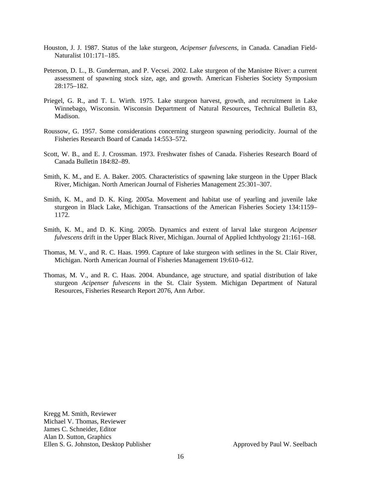- Houston, J. J. 1987. Status of the lake sturgeon, *Acipenser fulvescens*, in Canada. Canadian Field-Naturalist 101:171–185.
- Peterson, D. L., B. Gunderman, and P. Vecsei. 2002. Lake sturgeon of the Manistee River: a current assessment of spawning stock size, age, and growth. American Fisheries Society Symposium 28:175–182.
- Priegel, G. R., and T. L. Wirth. 1975. Lake sturgeon harvest, growth, and recruitment in Lake Winnebago, Wisconsin. Wisconsin Department of Natural Resources, Technical Bulletin 83, Madison.
- Roussow, G. 1957. Some considerations concerning sturgeon spawning periodicity. Journal of the Fisheries Research Board of Canada 14:553–572.
- Scott, W. B., and E. J. Crossman. 1973. Freshwater fishes of Canada. Fisheries Research Board of Canada Bulletin 184:82–89.
- Smith, K. M., and E. A. Baker. 2005. Characteristics of spawning lake sturgeon in the Upper Black River, Michigan. North American Journal of Fisheries Management 25:301–307.
- Smith, K. M., and D. K. King. 2005a. Movement and habitat use of yearling and juvenile lake sturgeon in Black Lake, Michigan. Transactions of the American Fisheries Society 134:1159– 1172.
- Smith, K. M., and D. K. King. 2005b. Dynamics and extent of larval lake sturgeon *Acipenser fulvescens* drift in the Upper Black River, Michigan. Journal of Applied Ichthyology 21:161–168.
- Thomas, M. V., and R. C. Haas. 1999. Capture of lake sturgeon with setlines in the St. Clair River, Michigan. North American Journal of Fisheries Management 19:610–612.
- Thomas, M. V., and R. C. Haas. 2004. Abundance, age structure, and spatial distribution of lake sturgeon *Acipenser fulvescens* in the St. Clair System. Michigan Department of Natural Resources, Fisheries Research Report 2076, Ann Arbor.